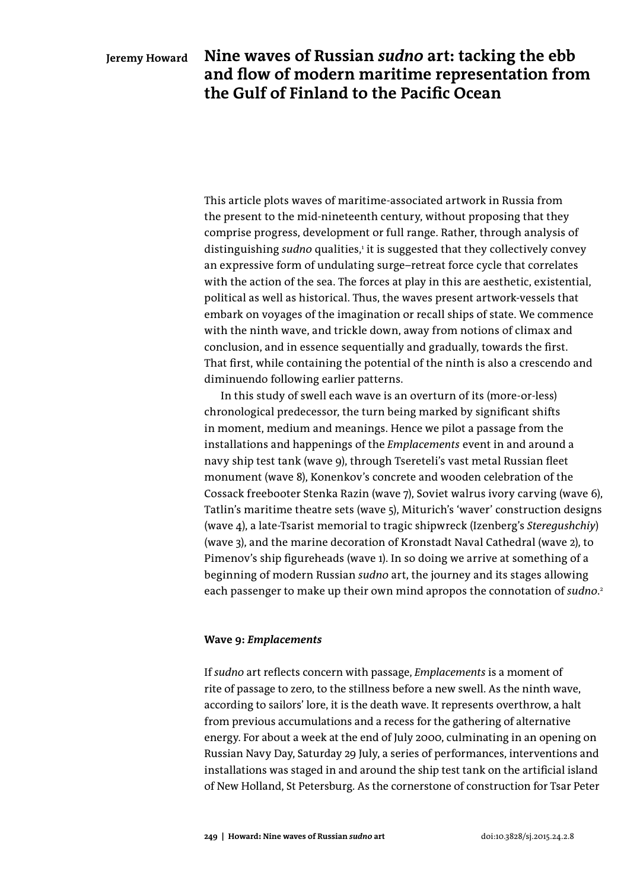**Nine waves of Russian** *sudno* **art: tacking the ebb and flow of modern maritime representation from the Gulf of Finland to the Pacific Ocean**

This article plots waves of maritime-associated artwork in Russia from the present to the mid-nineteenth century, without proposing that they comprise progress, development or full range. Rather, through analysis of distinguishing *sudno* qualities,<sup>1</sup> it is suggested that they collectively convey an expressive form of undulating surge–retreat force cycle that correlates with the action of the sea. The forces at play in this are aesthetic, existential, political as well as historical. Thus, the waves present artwork-vessels that embark on voyages of the imagination or recall ships of state. We commence with the ninth wave, and trickle down, away from notions of climax and conclusion, and in essence sequentially and gradually, towards the first. That first, while containing the potential of the ninth is also a crescendo and diminuendo following earlier patterns.

In this study of swell each wave is an overturn of its (more-or-less) chronological predecessor, the turn being marked by significant shifts in moment, medium and meanings. Hence we pilot a passage from the installations and happenings of the *Emplacements* event in and around a navy ship test tank (wave 9), through Tsereteli's vast metal Russian fleet monument (wave 8), Konenkov's concrete and wooden celebration of the Cossack freebooter Stenka Razin (wave 7), Soviet walrus ivory carving (wave 6), Tatlin's maritime theatre sets (wave 5), Miturich's 'waver' construction designs (wave 4), a late-Tsarist memorial to tragic shipwreck (Izenberg's *Steregushchiy*) (wave 3), and the marine decoration of Kronstadt Naval Cathedral (wave 2), to Pimenov's ship figureheads (wave 1). In so doing we arrive at something of a beginning of modern Russian *sudno* art, the journey and its stages allowing each passenger to make up their own mind apropos the connotation of *sudno*. 2

### **Wave 9:** *Emplacements*

If *sudno* art reflects concern with passage, *Emplacements* is a moment of rite of passage to zero, to the stillness before a new swell. As the ninth wave, according to sailors' lore, it is the death wave. It represents overthrow, a halt from previous accumulations and a recess for the gathering of alternative energy. For about a week at the end of July 2000, culminating in an opening on Russian Navy Day, Saturday 29 July, a series of performances, interventions and installations was staged in and around the ship test tank on the artificial island of New Holland, St Petersburg. As the cornerstone of construction for Tsar Peter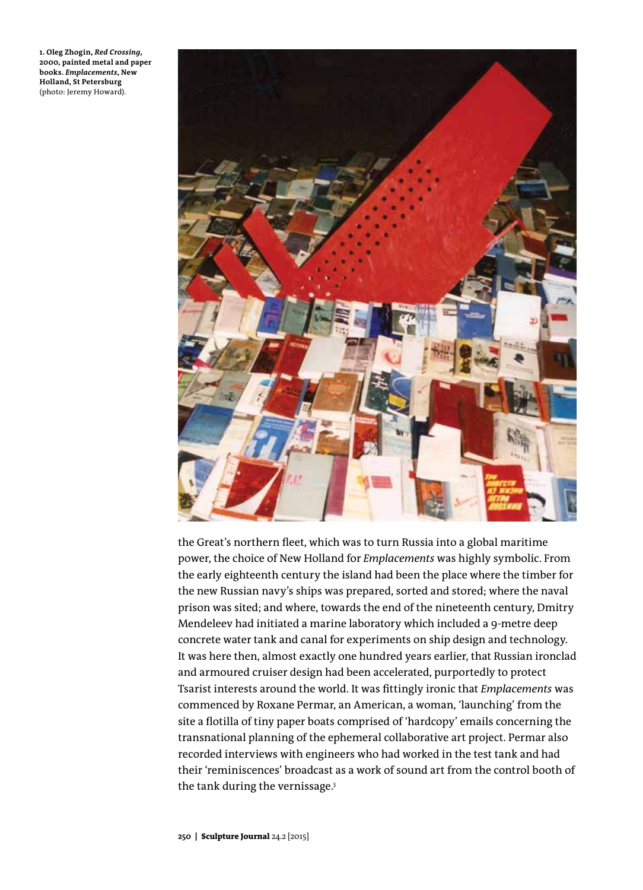**1. Oleg Zhogin,** *Red Crossing***, 2000, painted metal and paper books.** *Emplacements***, New Holland, St Petersburg**  (photo: Jeremy Howard).



the Great's northern fleet, which was to turn Russia into a global maritime power, the choice of New Holland for *Emplacements* was highly symbolic. From the early eighteenth century the island had been the place where the timber for the new Russian navy's ships was prepared, sorted and stored; where the naval prison was sited; and where, towards the end of the nineteenth century, Dmitry Mendeleev had initiated a marine laboratory which included a 9-metre deep concrete water tank and canal for experiments on ship design and technology. It was here then, almost exactly one hundred years earlier, that Russian ironclad and armoured cruiser design had been accelerated, purportedly to protect Tsarist interests around the world. It was fittingly ironic that *Emplacements* was commenced by Roxane Permar, an American, a woman, 'launching' from the site a flotilla of tiny paper boats comprised of 'hardcopy' emails concerning the transnational planning of the ephemeral collaborative art project. Permar also recorded interviews with engineers who had worked in the test tank and had their 'reminiscences' broadcast as a work of sound art from the control booth of the tank during the vernissage.<sup>3</sup>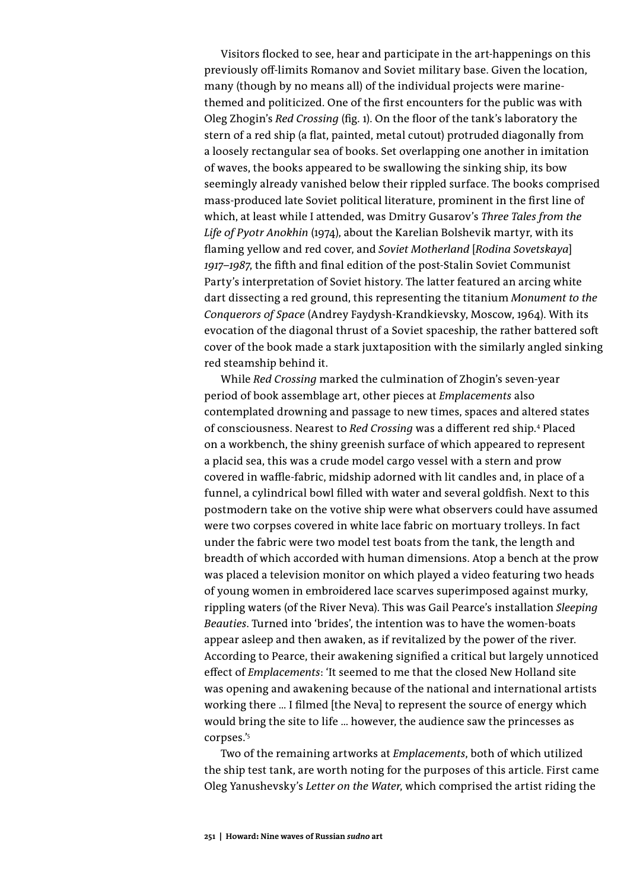Visitors flocked to see, hear and participate in the art-happenings on this previously off-limits Romanov and Soviet military base. Given the location, many (though by no means all) of the individual projects were marinethemed and politicized. One of the first encounters for the public was with Oleg Zhogin's *Red Crossing* (fig. 1). On the floor of the tank's laboratory the stern of a red ship (a flat, painted, metal cutout) protruded diagonally from a loosely rectangular sea of books. Set overlapping one another in imitation of waves, the books appeared to be swallowing the sinking ship, its bow seemingly already vanished below their rippled surface. The books comprised mass-produced late Soviet political literature, prominent in the first line of which, at least while I attended, was Dmitry Gusarov's *Three Tales from the Life of Pyotr Anokhin* (1974), about the Karelian Bolshevik martyr, with its flaming yellow and red cover, and *Soviet Motherland* [*Rodina Sovetskaya*] *1917–1987*, the fifth and final edition of the post-Stalin Soviet Communist Party's interpretation of Soviet history. The latter featured an arcing white dart dissecting a red ground, this representing the titanium *Monument to the Conquerors of Space* (Andrey Faydysh-Krandkievsky, Moscow, 1964). With its evocation of the diagonal thrust of a Soviet spaceship, the rather battered soft cover of the book made a stark juxtaposition with the similarly angled sinking red steamship behind it.

While *Red Crossing* marked the culmination of Zhogin's seven-year period of book assemblage art, other pieces at *Emplacements* also contemplated drowning and passage to new times, spaces and altered states of consciousness. Nearest to *Red Crossing* was a different red ship.4 Placed on a workbench, the shiny greenish surface of which appeared to represent a placid sea, this was a crude model cargo vessel with a stern and prow covered in waffle-fabric, midship adorned with lit candles and, in place of a funnel, a cylindrical bowl filled with water and several goldfish. Next to this postmodern take on the votive ship were what observers could have assumed were two corpses covered in white lace fabric on mortuary trolleys. In fact under the fabric were two model test boats from the tank, the length and breadth of which accorded with human dimensions. Atop a bench at the prow was placed a television monitor on which played a video featuring two heads of young women in embroidered lace scarves superimposed against murky, rippling waters (of the River Neva). This was Gail Pearce's installation *Sleeping Beauties*. Turned into 'brides', the intention was to have the women-boats appear asleep and then awaken, as if revitalized by the power of the river. According to Pearce, their awakening signified a critical but largely unnoticed effect of *Emplacements*: 'It seemed to me that the closed New Holland site was opening and awakening because of the national and international artists working there … I filmed [the Neva] to represent the source of energy which would bring the site to life … however, the audience saw the princesses as corpses.'5

Two of the remaining artworks at *Emplacements*, both of which utilized the ship test tank, are worth noting for the purposes of this article. First came Oleg Yanushevsky's *Letter on the Water*, which comprised the artist riding the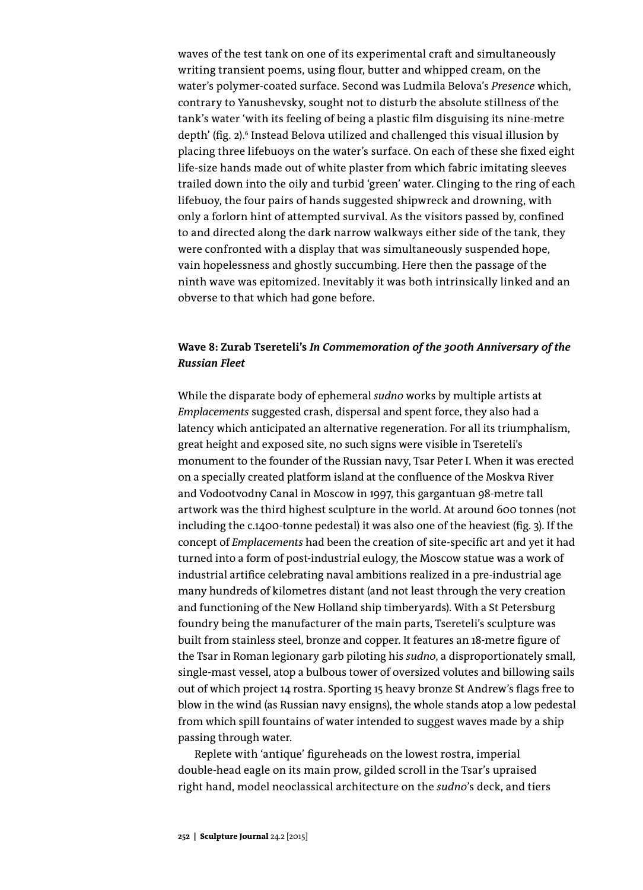waves of the test tank on one of its experimental craft and simultaneously writing transient poems, using flour, butter and whipped cream, on the water's polymer-coated surface. Second was Ludmila Belova's *Presence* which, contrary to Yanushevsky, sought not to disturb the absolute stillness of the tank's water 'with its feeling of being a plastic film disguising its nine-metre depth' (fig. 2).<sup>6</sup> Instead Belova utilized and challenged this visual illusion by placing three lifebuoys on the water's surface. On each of these she fixed eight life-size hands made out of white plaster from which fabric imitating sleeves trailed down into the oily and turbid 'green' water. Clinging to the ring of each lifebuoy, the four pairs of hands suggested shipwreck and drowning, with only a forlorn hint of attempted survival. As the visitors passed by, confined to and directed along the dark narrow walkways either side of the tank, they were confronted with a display that was simultaneously suspended hope, vain hopelessness and ghostly succumbing. Here then the passage of the ninth wave was epitomized. Inevitably it was both intrinsically linked and an obverse to that which had gone before.

# **Wave 8: Zurab Tsereteli's** *In Commemoration of the 300th Anniversary of the Russian Fleet*

While the disparate body of ephemeral *sudno* works by multiple artists at *Emplacements* suggested crash, dispersal and spent force, they also had a latency which anticipated an alternative regeneration. For all its triumphalism, great height and exposed site, no such signs were visible in Tsereteli's monument to the founder of the Russian navy, Tsar Peter I. When it was erected on a specially created platform island at the confluence of the Moskva River and Vodootvodny Canal in Moscow in 1997, this gargantuan 98-metre tall artwork was the third highest sculpture in the world. At around 600 tonnes (not including the c.1400-tonne pedestal) it was also one of the heaviest (fig. 3). If the concept of *Emplacements* had been the creation of site-specific art and yet it had turned into a form of post-industrial eulogy, the Moscow statue was a work of industrial artifice celebrating naval ambitions realized in a pre-industrial age many hundreds of kilometres distant (and not least through the very creation and functioning of the New Holland ship timberyards). With a St Petersburg foundry being the manufacturer of the main parts, Tsereteli's sculpture was built from stainless steel, bronze and copper. It features an 18-metre figure of the Tsar in Roman legionary garb piloting his *sudno*, a disproportionately small, single-mast vessel, atop a bulbous tower of oversized volutes and billowing sails out of which project 14 rostra. Sporting 15 heavy bronze St Andrew's flags free to blow in the wind (as Russian navy ensigns), the whole stands atop a low pedestal from which spill fountains of water intended to suggest waves made by a ship passing through water.

Replete with 'antique' figureheads on the lowest rostra, imperial double-head eagle on its main prow, gilded scroll in the Tsar's upraised right hand, model neoclassical architecture on the *sudno*'s deck, and tiers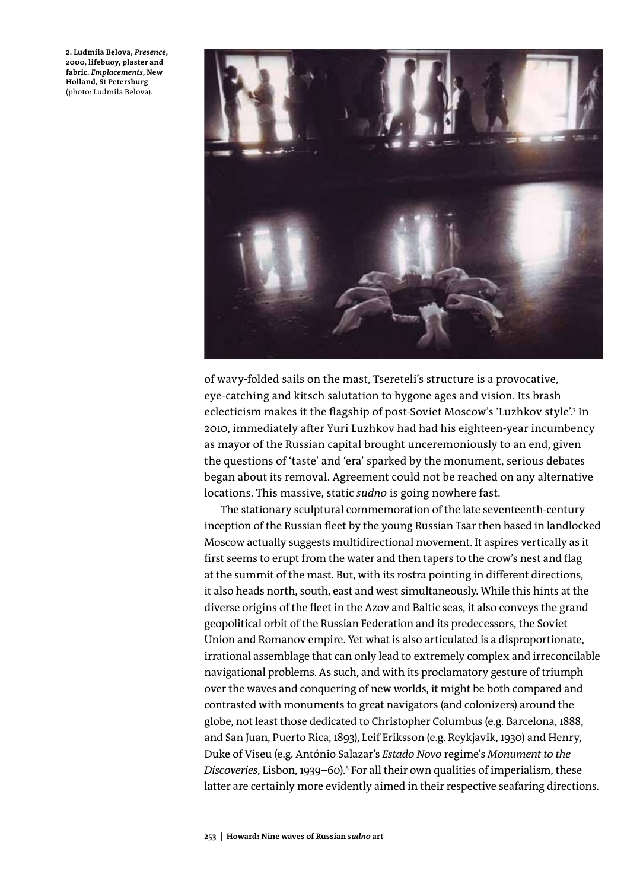**2. Ludmila Belova,** *Presence***, 2000, lifebuoy, plaster and fabric.** *Emplacements***, New Holland, St Petersburg** (photo: Ludmila Belova).



of wavy-folded sails on the mast, Tsereteli's structure is a provocative, eye-catching and kitsch salutation to bygone ages and vision. Its brash eclecticism makes it the flagship of post-Soviet Moscow's 'Luzhkov style'.7 In 2010, immediately after Yuri Luzhkov had had his eighteen-year incumbency as mayor of the Russian capital brought unceremoniously to an end, given the questions of 'taste' and 'era' sparked by the monument, serious debates began about its removal. Agreement could not be reached on any alternative locations. This massive, static *sudno* is going nowhere fast.

The stationary sculptural commemoration of the late seventeenth-century inception of the Russian fleet by the young Russian Tsar then based in landlocked Moscow actually suggests multidirectional movement. It aspires vertically as it first seems to erupt from the water and then tapers to the crow's nest and flag at the summit of the mast. But, with its rostra pointing in different directions, it also heads north, south, east and west simultaneously. While this hints at the diverse origins of the fleet in the Azov and Baltic seas, it also conveys the grand geopolitical orbit of the Russian Federation and its predecessors, the Soviet Union and Romanov empire. Yet what is also articulated is a disproportionate, irrational assemblage that can only lead to extremely complex and irreconcilable navigational problems. As such, and with its proclamatory gesture of triumph over the waves and conquering of new worlds, it might be both compared and contrasted with monuments to great navigators (and colonizers) around the globe, not least those dedicated to Christopher Columbus (e.g. Barcelona, 1888, and San Juan, Puerto Rica, 1893), Leif Eriksson (e.g. Reykjavik, 1930) and Henry, Duke of Viseu (e.g. António Salazar's *Estado Novo* regime's *Monument to the*  Discoveries, Lisbon, 1939–60).<sup>8</sup> For all their own qualities of imperialism, these latter are certainly more evidently aimed in their respective seafaring directions.

**253 | Howard: Nine waves of Russian** *sudno* **art**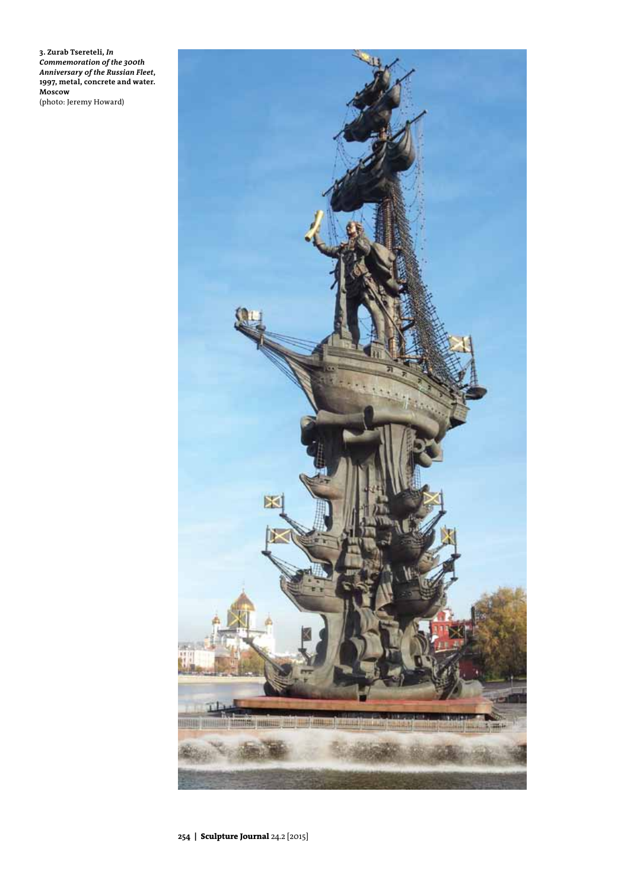**3. Zurab Tsereteli,** *In Commemoration of the 300th Anniversary of the Russian Fleet***, 1997, metal, concrete and water. Moscow**

(photo: Jeremy Howard)

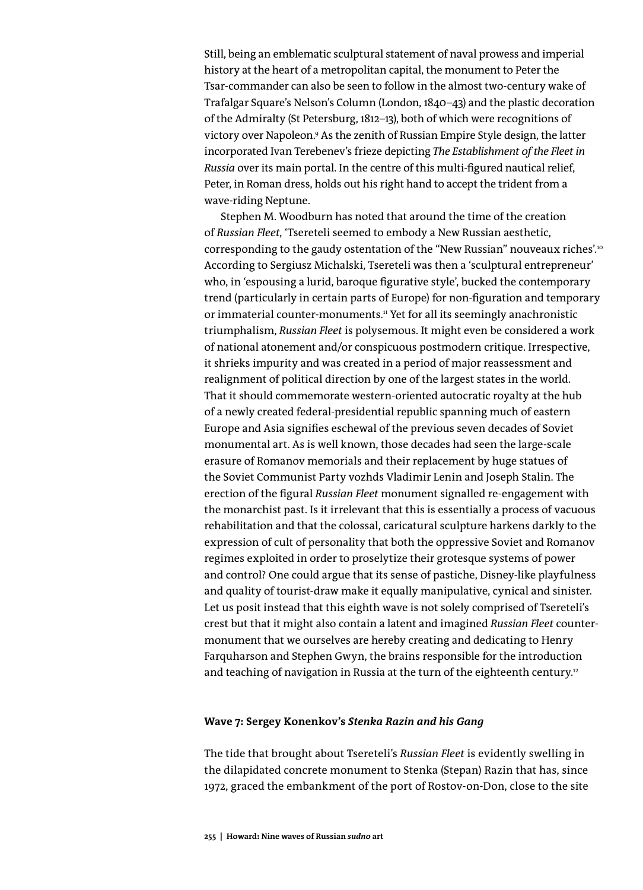Still, being an emblematic sculptural statement of naval prowess and imperial history at the heart of a metropolitan capital, the monument to Peter the Tsar-commander can also be seen to follow in the almost two-century wake of Trafalgar Square's Nelson's Column (London, 1840–43) and the plastic decoration of the Admiralty (St Petersburg, 1812–13), both of which were recognitions of victory over Napoleon.<sup>9</sup> As the zenith of Russian Empire Style design, the latter incorporated Ivan Terebenev's frieze depicting *The Establishment of the Fleet in Russia* over its main portal. In the centre of this multi-figured nautical relief, Peter, in Roman dress, holds out his right hand to accept the trident from a wave-riding Neptune.

Stephen M. Woodburn has noted that around the time of the creation of *Russian Fleet*, 'Tsereteli seemed to embody a New Russian aesthetic, corresponding to the gaudy ostentation of the "New Russian" nouveaux riches'.10 According to Sergiusz Michalski, Tsereteli was then a 'sculptural entrepreneur' who, in 'espousing a lurid, baroque figurative style', bucked the contemporary trend (particularly in certain parts of Europe) for non-figuration and temporary or immaterial counter-monuments.<sup>11</sup> Yet for all its seemingly anachronistic triumphalism, *Russian Fleet* is polysemous. It might even be considered a work of national atonement and/or conspicuous postmodern critique. Irrespective, it shrieks impurity and was created in a period of major reassessment and realignment of political direction by one of the largest states in the world. That it should commemorate western-oriented autocratic royalty at the hub of a newly created federal-presidential republic spanning much of eastern Europe and Asia signifies eschewal of the previous seven decades of Soviet monumental art. As is well known, those decades had seen the large-scale erasure of Romanov memorials and their replacement by huge statues of the Soviet Communist Party vozhds Vladimir Lenin and Joseph Stalin. The erection of the figural *Russian Fleet* monument signalled re-engagement with the monarchist past. Is it irrelevant that this is essentially a process of vacuous rehabilitation and that the colossal, caricatural sculpture harkens darkly to the expression of cult of personality that both the oppressive Soviet and Romanov regimes exploited in order to proselytize their grotesque systems of power and control? One could argue that its sense of pastiche, Disney-like playfulness and quality of tourist-draw make it equally manipulative, cynical and sinister. Let us posit instead that this eighth wave is not solely comprised of Tsereteli's crest but that it might also contain a latent and imagined *Russian Fleet* countermonument that we ourselves are hereby creating and dedicating to Henry Farquharson and Stephen Gwyn, the brains responsible for the introduction and teaching of navigation in Russia at the turn of the eighteenth century.<sup>12</sup>

## **Wave 7: Sergey Konenkov's** *Stenka Razin and his Gang*

The tide that brought about Tsereteli's *Russian Fleet* is evidently swelling in the dilapidated concrete monument to Stenka (Stepan) Razin that has, since 1972, graced the embankment of the port of Rostov-on-Don, close to the site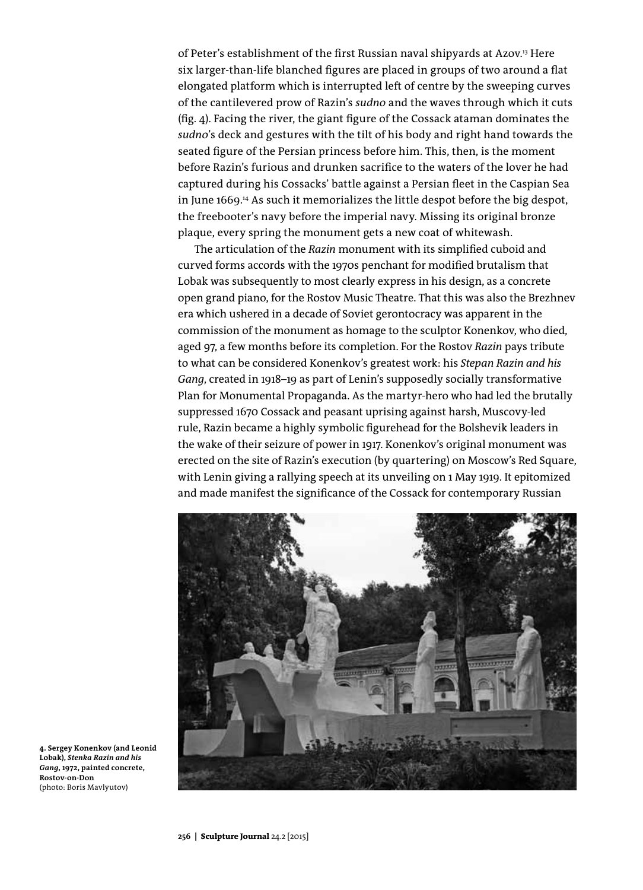of Peter's establishment of the first Russian naval shipyards at Azov.<sup>13</sup> Here six larger-than-life blanched figures are placed in groups of two around a flat elongated platform which is interrupted left of centre by the sweeping curves of the cantilevered prow of Razin's *sudno* and the waves through which it cuts (fig. 4). Facing the river, the giant figure of the Cossack ataman dominates the *sudno*'s deck and gestures with the tilt of his body and right hand towards the seated figure of the Persian princess before him. This, then, is the moment before Razin's furious and drunken sacrifice to the waters of the lover he had captured during his Cossacks' battle against a Persian fleet in the Caspian Sea in June 1669.14 As such it memorializes the little despot before the big despot, the freebooter's navy before the imperial navy. Missing its original bronze plaque, every spring the monument gets a new coat of whitewash.

The articulation of the *Razin* monument with its simplified cuboid and curved forms accords with the 1970s penchant for modified brutalism that Lobak was subsequently to most clearly express in his design, as a concrete open grand piano, for the Rostov Music Theatre. That this was also the Brezhnev era which ushered in a decade of Soviet gerontocracy was apparent in the commission of the monument as homage to the sculptor Konenkov, who died, aged 97, a few months before its completion. For the Rostov *Razin* pays tribute to what can be considered Konenkov's greatest work: his *Stepan Razin and his Gang*, created in 1918–19 as part of Lenin's supposedly socially transformative Plan for Monumental Propaganda. As the martyr-hero who had led the brutally suppressed 1670 Cossack and peasant uprising against harsh, Muscovy-led rule, Razin became a highly symbolic figurehead for the Bolshevik leaders in the wake of their seizure of power in 1917. Konenkov's original monument was erected on the site of Razin's execution (by quartering) on Moscow's Red Square, with Lenin giving a rallying speech at its unveiling on 1 May 1919. It epitomized and made manifest the significance of the Cossack for contemporary Russian



**4. Sergey Konenkov (and Leonid Lobak),** *Stenka Razin and his Gang***, 1972, painted concrete, Rostov-on-Don** (photo: Boris Mavlyutov)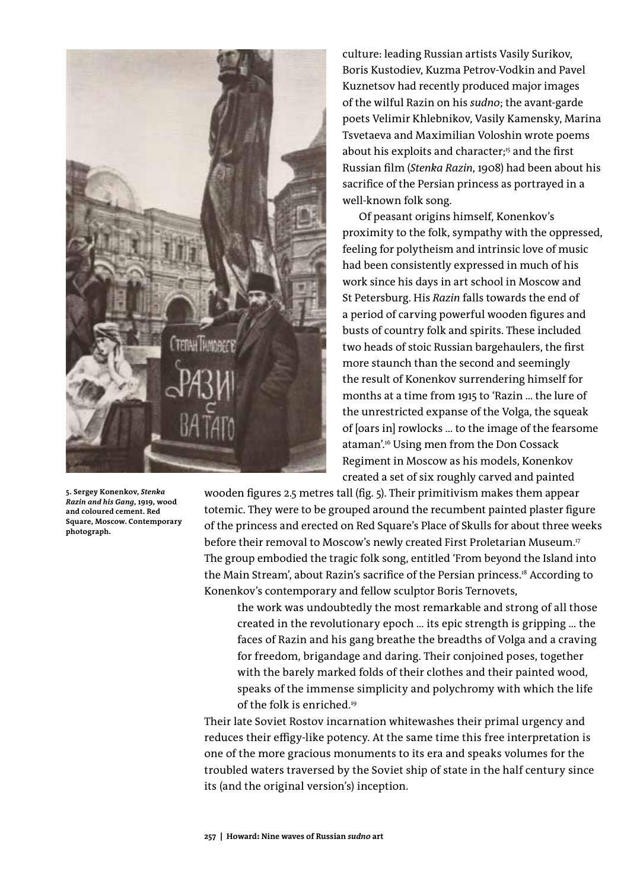

**5. Sergey Konenkov,** *Stenka Razin and his Gang***, 1919, wood and coloured cement. Red Square, Moscow. Contemporary photograph.** 

culture: leading Russian artists Vasily Surikov, Boris Kustodiev, Kuzma Petrov-Vodkin and Pavel Kuznetsov had recently produced major images of the wilful Razin on his *sudno*; the avant-garde poets Velimir Khlebnikov, Vasily Kamensky, Marina Tsvetaeva and Maximilian Voloshin wrote poems about his exploits and character;<sup>15</sup> and the first Russian film (*Stenka Razin*, 1908) had been about his sacrifice of the Persian princess as portrayed in a well-known folk song.

Of peasant origins himself, Konenkov's proximity to the folk, sympathy with the oppressed, feeling for polytheism and intrinsic love of music had been consistently expressed in much of his work since his days in art school in Moscow and St Petersburg. His *Razin* falls towards the end of a period of carving powerful wooden figures and busts of country folk and spirits. These included two heads of stoic Russian bargehaulers, the first more staunch than the second and seemingly the result of Konenkov surrendering himself for months at a time from 1915 to 'Razin … the lure of the unrestricted expanse of the Volga, the squeak of [oars in] rowlocks … to the image of the fearsome ataman'.16 Using men from the Don Cossack Regiment in Moscow as his models, Konenkov created a set of six roughly carved and painted

wooden figures 2.5 metres tall (fig. 5). Their primitivism makes them appear totemic. They were to be grouped around the recumbent painted plaster figure of the princess and erected on Red Square's Place of Skulls for about three weeks before their removal to Moscow's newly created First Proletarian Museum.17 The group embodied the tragic folk song, entitled 'From beyond the Island into the Main Stream', about Razin's sacrifice of the Persian princess.<sup>18</sup> According to Konenkov's contemporary and fellow sculptor Boris Ternovets,

the work was undoubtedly the most remarkable and strong of all those created in the revolutionary epoch … its epic strength is gripping … the faces of Razin and his gang breathe the breadths of Volga and a craving for freedom, brigandage and daring. Their conjoined poses, together with the barely marked folds of their clothes and their painted wood, speaks of the immense simplicity and polychromy with which the life of the folk is enriched.<sup>19</sup>

Their late Soviet Rostov incarnation whitewashes their primal urgency and reduces their effigy-like potency. At the same time this free interpretation is one of the more gracious monuments to its era and speaks volumes for the troubled waters traversed by the Soviet ship of state in the half century since its (and the original version's) inception.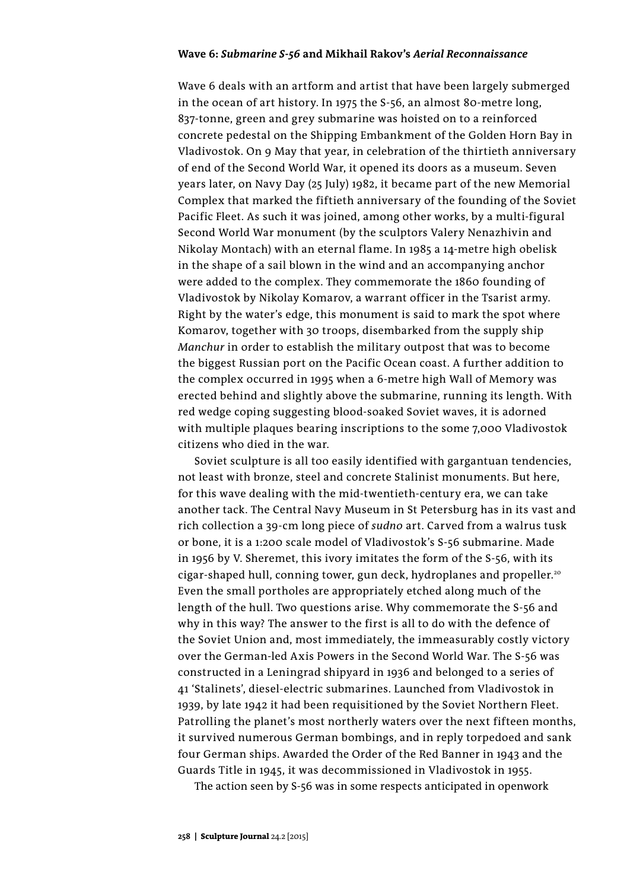#### **Wave 6:** *Submarine S-56* **and Mikhail Rakov's** *Aerial Reconnaissance*

Wave 6 deals with an artform and artist that have been largely submerged in the ocean of art history. In 1975 the S-56, an almost 80-metre long, 837-tonne, green and grey submarine was hoisted on to a reinforced concrete pedestal on the Shipping Embankment of the Golden Horn Bay in Vladivostok. On 9 May that year, in celebration of the thirtieth anniversary of end of the Second World War, it opened its doors as a museum. Seven years later, on Navy Day (25 July) 1982, it became part of the new Memorial Complex that marked the fiftieth anniversary of the founding of the Soviet Pacific Fleet. As such it was joined, among other works, by a multi-figural Second World War monument (by the sculptors Valery Nenazhivin and Nikolay Montach) with an eternal flame. In 1985 a 14-metre high obelisk in the shape of a sail blown in the wind and an accompanying anchor were added to the complex. They commemorate the 1860 founding of Vladivostok by Nikolay Komarov, a warrant officer in the Tsarist army. Right by the water's edge, this monument is said to mark the spot where Komarov, together with 30 troops, disembarked from the supply ship *Manchur* in order to establish the military outpost that was to become the biggest Russian port on the Pacific Ocean coast. A further addition to the complex occurred in 1995 when a 6-metre high Wall of Memory was erected behind and slightly above the submarine, running its length. With red wedge coping suggesting blood-soaked Soviet waves, it is adorned with multiple plaques bearing inscriptions to the some 7,000 Vladivostok citizens who died in the war.

Soviet sculpture is all too easily identified with gargantuan tendencies, not least with bronze, steel and concrete Stalinist monuments. But here, for this wave dealing with the mid-twentieth-century era, we can take another tack. The Central Navy Museum in St Petersburg has in its vast and rich collection a 39-cm long piece of *sudno* art. Carved from a walrus tusk or bone, it is a 1:200 scale model of Vladivostok's S-56 submarine. Made in 1956 by V. Sheremet, this ivory imitates the form of the S-56, with its cigar-shaped hull, conning tower, gun deck, hydroplanes and propeller.<sup>20</sup> Even the small portholes are appropriately etched along much of the length of the hull. Two questions arise. Why commemorate the S-56 and why in this way? The answer to the first is all to do with the defence of the Soviet Union and, most immediately, the immeasurably costly victory over the German-led Axis Powers in the Second World War. The S-56 was constructed in a Leningrad shipyard in 1936 and belonged to a series of 41 'Stalinets', diesel-electric submarines. Launched from Vladivostok in 1939, by late 1942 it had been requisitioned by the Soviet Northern Fleet. Patrolling the planet's most northerly waters over the next fifteen months, it survived numerous German bombings, and in reply torpedoed and sank four German ships. Awarded the Order of the Red Banner in 1943 and the Guards Title in 1945, it was decommissioned in Vladivostok in 1955.

The action seen by S-56 was in some respects anticipated in openwork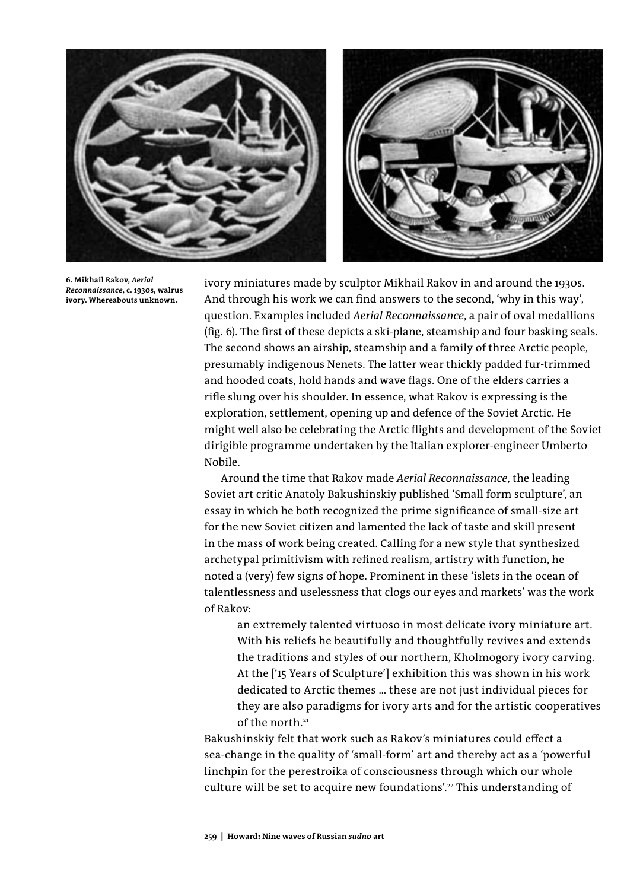

**6. Mikhail Rakov,** *Aerial Reconnaissance***, c. 1930s, walrus ivory. Whereabouts unknown.** 

ivory miniatures made by sculptor Mikhail Rakov in and around the 1930s. And through his work we can find answers to the second, 'why in this way', question. Examples included *Aerial Reconnaissance*, a pair of oval medallions (fig. 6). The first of these depicts a ski-plane, steamship and four basking seals. The second shows an airship, steamship and a family of three Arctic people, presumably indigenous Nenets. The latter wear thickly padded fur-trimmed and hooded coats, hold hands and wave flags. One of the elders carries a rifle slung over his shoulder. In essence, what Rakov is expressing is the exploration, settlement, opening up and defence of the Soviet Arctic. He might well also be celebrating the Arctic flights and development of the Soviet dirigible programme undertaken by the Italian explorer-engineer Umberto Nobile.

Around the time that Rakov made *Aerial Reconnaissance*, the leading Soviet art critic Anatoly Bakushinskiy published 'Small form sculpture', an essay in which he both recognized the prime significance of small-size art for the new Soviet citizen and lamented the lack of taste and skill present in the mass of work being created. Calling for a new style that synthesized archetypal primitivism with refined realism, artistry with function, he noted a (very) few signs of hope. Prominent in these 'islets in the ocean of talentlessness and uselessness that clogs our eyes and markets' was the work of Rakov:

an extremely talented virtuoso in most delicate ivory miniature art. With his reliefs he beautifully and thoughtfully revives and extends the traditions and styles of our northern, Kholmogory ivory carving. At the ['15 Years of Sculpture'] exhibition this was shown in his work dedicated to Arctic themes … these are not just individual pieces for they are also paradigms for ivory arts and for the artistic cooperatives of the north.<sup>21</sup>

Bakushinskiy felt that work such as Rakov's miniatures could effect a sea-change in the quality of 'small-form' art and thereby act as a 'powerful linchpin for the perestroika of consciousness through which our whole culture will be set to acquire new foundations'.<sup>22</sup> This understanding of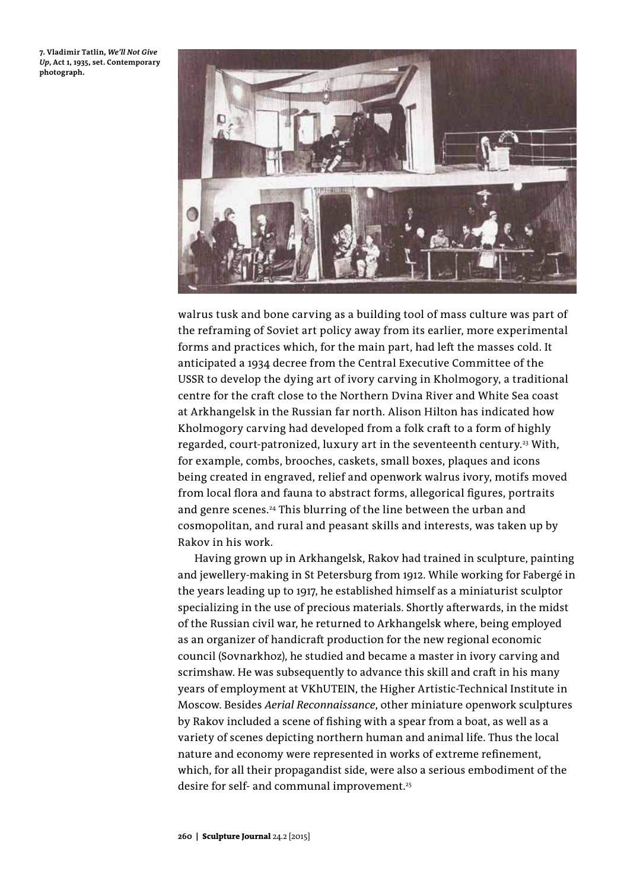**7. Vladimir Tatlin,** *We'll Not Give Up***, Act 1, 1935, set. Contemporary photograph.**



walrus tusk and bone carving as a building tool of mass culture was part of the reframing of Soviet art policy away from its earlier, more experimental forms and practices which, for the main part, had left the masses cold. It anticipated a 1934 decree from the Central Executive Committee of the USSR to develop the dying art of ivory carving in Kholmogory, a traditional centre for the craft close to the Northern Dvina River and White Sea coast at Arkhangelsk in the Russian far north. Alison Hilton has indicated how Kholmogory carving had developed from a folk craft to a form of highly regarded, court-patronized, luxury art in the seventeenth century.<sup>23</sup> With, for example, combs, brooches, caskets, small boxes, plaques and icons being created in engraved, relief and openwork walrus ivory, motifs moved from local flora and fauna to abstract forms, allegorical figures, portraits and genre scenes.<sup>24</sup> This blurring of the line between the urban and cosmopolitan, and rural and peasant skills and interests, was taken up by Rakov in his work.

Having grown up in Arkhangelsk, Rakov had trained in sculpture, painting and jewellery-making in St Petersburg from 1912. While working for Fabergé in the years leading up to 1917, he established himself as a miniaturist sculptor specializing in the use of precious materials. Shortly afterwards, in the midst of the Russian civil war, he returned to Arkhangelsk where, being employed as an organizer of handicraft production for the new regional economic council (Sovnarkhoz), he studied and became a master in ivory carving and scrimshaw. He was subsequently to advance this skill and craft in his many years of employment at VKhUTEIN, the Higher Artistic-Technical Institute in Moscow. Besides *Aerial Reconnaissance*, other miniature openwork sculptures by Rakov included a scene of fishing with a spear from a boat, as well as a variety of scenes depicting northern human and animal life. Thus the local nature and economy were represented in works of extreme refinement, which, for all their propagandist side, were also a serious embodiment of the desire for self- and communal improvement.<sup>25</sup>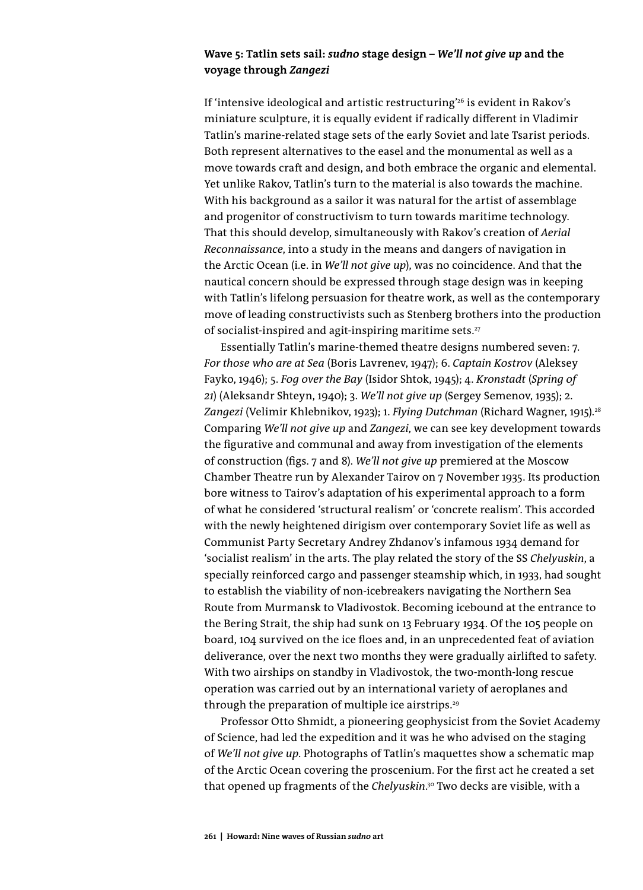# **Wave 5: Tatlin sets sail:** *sudno* **stage design –** *We'll not give up* **and the voyage through** *Zangezi*

If 'intensive ideological and artistic restructuring'<sup>26</sup> is evident in Rakov's miniature sculpture, it is equally evident if radically different in Vladimir Tatlin's marine-related stage sets of the early Soviet and late Tsarist periods. Both represent alternatives to the easel and the monumental as well as a move towards craft and design, and both embrace the organic and elemental. Yet unlike Rakov, Tatlin's turn to the material is also towards the machine. With his background as a sailor it was natural for the artist of assemblage and progenitor of constructivism to turn towards maritime technology. That this should develop, simultaneously with Rakov's creation of *Aerial Reconnaissance*, into a study in the means and dangers of navigation in the Arctic Ocean (i.e. in *We'll not give up*), was no coincidence. And that the nautical concern should be expressed through stage design was in keeping with Tatlin's lifelong persuasion for theatre work, as well as the contemporary move of leading constructivists such as Stenberg brothers into the production of socialist-inspired and agit-inspiring maritime sets. $27$ 

Essentially Tatlin's marine-themed theatre designs numbered seven: 7. *For those who are at Sea* (Boris Lavrenev, 1947); 6. *Captain Kostrov* (Aleksey Fayko, 1946); 5. *Fog over the Bay* (Isidor Shtok, 1945); 4. *Kronstadt* (*Spring of 21*) (Aleksandr Shteyn, 1940); 3. *We'll not give up* (Sergey Semenov, 1935); 2. Zangezi (Velimir Khlebnikov, 1923); 1. *Flying Dutchman (Richard Wagner, 1915).*<sup>28</sup> Comparing *We'll not give up* and *Zangezi*, we can see key development towards the figurative and communal and away from investigation of the elements of construction (figs. 7 and 8). *We'll not give up* premiered at the Moscow Chamber Theatre run by Alexander Tairov on 7 November 1935. Its production bore witness to Tairov's adaptation of his experimental approach to a form of what he considered 'structural realism' or 'concrete realism'. This accorded with the newly heightened dirigism over contemporary Soviet life as well as Communist Party Secretary Andrey Zhdanov's infamous 1934 demand for 'socialist realism' in the arts. The play related the story of the SS *Chelyuskin*, a specially reinforced cargo and passenger steamship which, in 1933, had sought to establish the viability of non-icebreakers navigating the Northern Sea Route from Murmansk to Vladivostok. Becoming icebound at the entrance to the Bering Strait, the ship had sunk on 13 February 1934. Of the 105 people on board, 104 survived on the ice floes and, in an unprecedented feat of aviation deliverance, over the next two months they were gradually airlifted to safety. With two airships on standby in Vladivostok, the two-month-long rescue operation was carried out by an international variety of aeroplanes and through the preparation of multiple ice airstrips.<sup>29</sup>

Professor Otto Shmidt, a pioneering geophysicist from the Soviet Academy of Science, had led the expedition and it was he who advised on the staging of *We'll not give up*. Photographs of Tatlin's maquettes show a schematic map of the Arctic Ocean covering the proscenium. For the first act he created a set that opened up fragments of the *Chelyuskin*. 30 Two decks are visible, with a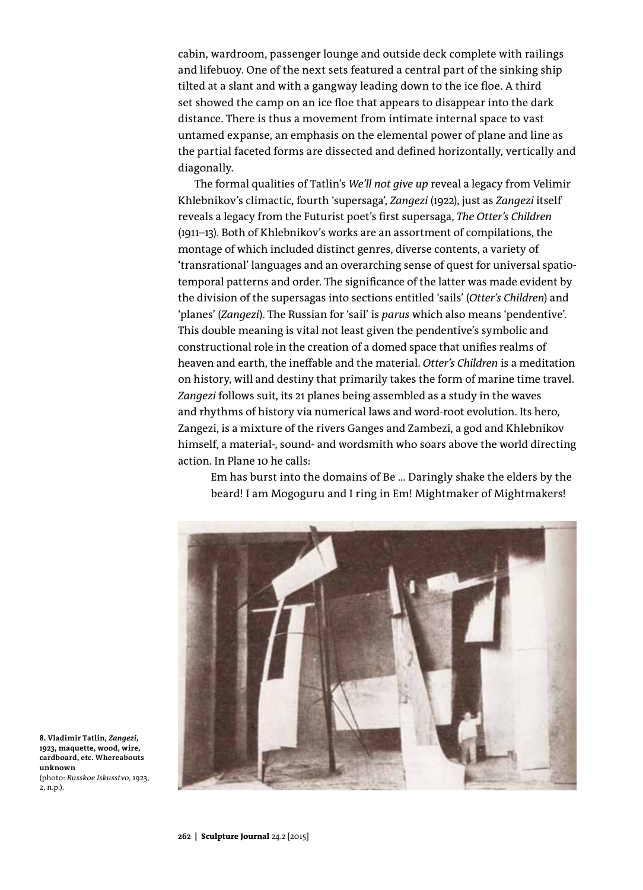cabin, wardroom, passenger lounge and outside deck complete with railings and lifebuoy. One of the next sets featured a central part of the sinking ship tilted at a slant and with a gangway leading down to the ice floe. A third set showed the camp on an ice floe that appears to disappear into the dark distance. There is thus a movement from intimate internal space to vast untamed expanse, an emphasis on the elemental power of plane and line as the partial faceted forms are dissected and defined horizontally, vertically and diagonally.

The formal qualities of Tatlin's *We'll not give up* reveal a legacy from Velimir Khlebnikov's climactic, fourth 'supersaga', *Zangezi* (1922), just as *Zangezi* itself reveals a legacy from the Futurist poet's first supersaga, *The Otter's Children* (1911–13). Both of Khlebnikov's works are an assortment of compilations, the montage of which included distinct genres, diverse contents, a variety of 'transrational' languages and an overarching sense of quest for universal spatiotemporal patterns and order. The significance of the latter was made evident by the division of the supersagas into sections entitled 'sails' (*Otter's Children*) and 'planes' (*Zangezi*). The Russian for 'sail' is *parus* which also means 'pendentive'. This double meaning is vital not least given the pendentive's symbolic and constructional role in the creation of a domed space that unifies realms of heaven and earth, the ineffable and the material. *Otter's Children* is a meditation on history, will and destiny that primarily takes the form of marine time travel. *Zangezi* follows suit, its 21 planes being assembled as a study in the waves and rhythms of history via numerical laws and word-root evolution. Its hero, Zangezi, is a mixture of the rivers Ganges and Zambezi, a god and Khlebnikov himself, a material-, sound- and wordsmith who soars above the world directing action. In Plane 10 he calls:

Em has burst into the domains of Be … Daringly shake the elders by the beard! I am Mogoguru and I ring in Em! Mightmaker of Mightmakers!



**8. Vladimir Tatlin,** *Zangezi***, 1923, maquette, wood, wire, cardboard, etc. Whereabouts unknown** (photo: *Russkoe Iskusstvo*, 1923, 2, n.p.).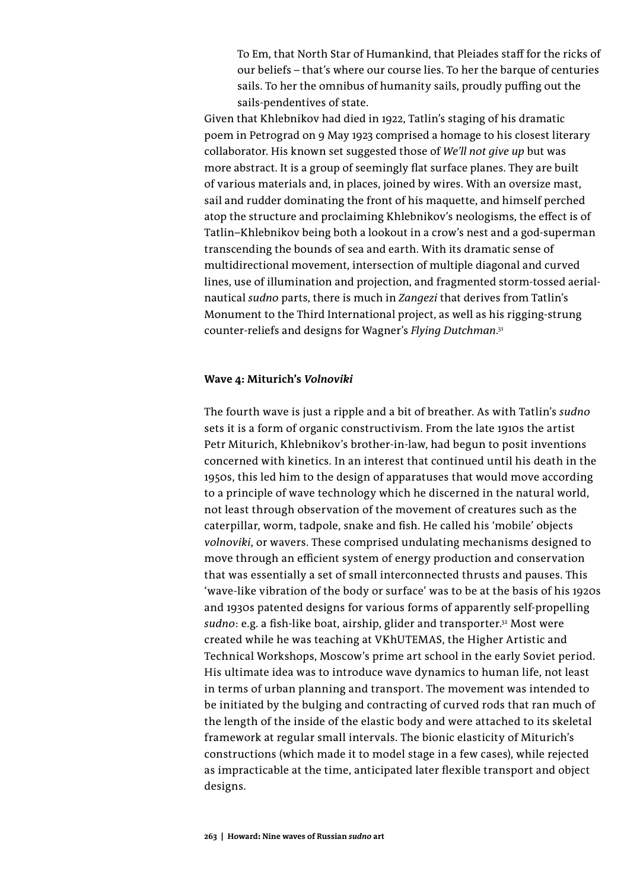To Em, that North Star of Humankind, that Pleiades staff for the ricks of our beliefs – that's where our course lies. To her the barque of centuries sails. To her the omnibus of humanity sails, proudly puffing out the sails-pendentives of state.

Given that Khlebnikov had died in 1922, Tatlin's staging of his dramatic poem in Petrograd on 9 May 1923 comprised a homage to his closest literary collaborator. His known set suggested those of *We'll not give up* but was more abstract. It is a group of seemingly flat surface planes. They are built of various materials and, in places, joined by wires. With an oversize mast, sail and rudder dominating the front of his maquette, and himself perched atop the structure and proclaiming Khlebnikov's neologisms, the effect is of Tatlin–Khlebnikov being both a lookout in a crow's nest and a god-superman transcending the bounds of sea and earth. With its dramatic sense of multidirectional movement, intersection of multiple diagonal and curved lines, use of illumination and projection, and fragmented storm-tossed aerialnautical *sudno* parts, there is much in *Zangezi* that derives from Tatlin's Monument to the Third International project, as well as his rigging-strung counter-reliefs and designs for Wagner's *Flying Dutchman*. 31

## **Wave 4: Miturich's** *Volnoviki*

The fourth wave is just a ripple and a bit of breather. As with Tatlin's *sudno* sets it is a form of organic constructivism. From the late 1910s the artist Petr Miturich, Khlebnikov's brother-in-law, had begun to posit inventions concerned with kinetics. In an interest that continued until his death in the 1950s, this led him to the design of apparatuses that would move according to a principle of wave technology which he discerned in the natural world, not least through observation of the movement of creatures such as the caterpillar, worm, tadpole, snake and fish. He called his 'mobile' objects *volnoviki*, or wavers. These comprised undulating mechanisms designed to move through an efficient system of energy production and conservation that was essentially a set of small interconnected thrusts and pauses. This 'wave-like vibration of the body or surface' was to be at the basis of his 1920s and 1930s patented designs for various forms of apparently self-propelling sudno: e.g. a fish-like boat, airship, glider and transporter.<sup>32</sup> Most were created while he was teaching at VKhUTEMAS, the Higher Artistic and Technical Workshops, Moscow's prime art school in the early Soviet period. His ultimate idea was to introduce wave dynamics to human life, not least in terms of urban planning and transport. The movement was intended to be initiated by the bulging and contracting of curved rods that ran much of the length of the inside of the elastic body and were attached to its skeletal framework at regular small intervals. The bionic elasticity of Miturich's constructions (which made it to model stage in a few cases), while rejected as impracticable at the time, anticipated later flexible transport and object designs.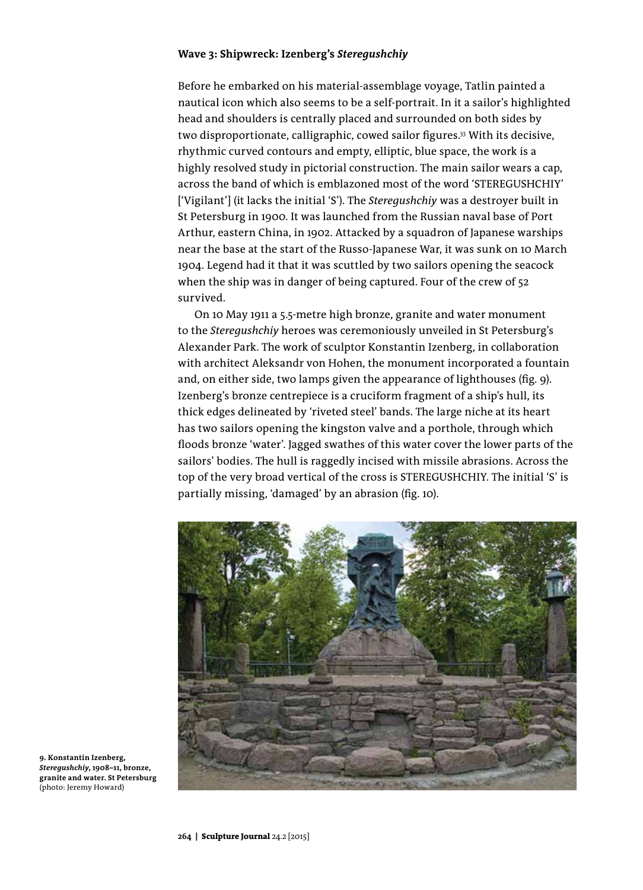## **Wave 3: Shipwreck: Izenberg's** *Steregushchiy*

Before he embarked on his material-assemblage voyage, Tatlin painted a nautical icon which also seems to be a self-portrait. In it a sailor's highlighted head and shoulders is centrally placed and surrounded on both sides by two disproportionate, calligraphic, cowed sailor figures.<sup>33</sup> With its decisive, rhythmic curved contours and empty, elliptic, blue space, the work is a highly resolved study in pictorial construction. The main sailor wears a cap, across the band of which is emblazoned most of the word 'STEREGUSHCHIY' ['Vigilant'] (it lacks the initial 'S'). The *Steregushchiy* was a destroyer built in St Petersburg in 1900. It was launched from the Russian naval base of Port Arthur, eastern China, in 1902. Attacked by a squadron of Japanese warships near the base at the start of the Russo-Japanese War, it was sunk on 10 March 1904. Legend had it that it was scuttled by two sailors opening the seacock when the ship was in danger of being captured. Four of the crew of 52 survived.

On 10 May 1911 a 5.5-metre high bronze, granite and water monument to the *Steregushchiy* heroes was ceremoniously unveiled in St Petersburg's Alexander Park. The work of sculptor Konstantin Izenberg, in collaboration with architect Aleksandr von Hohen, the monument incorporated a fountain and, on either side, two lamps given the appearance of lighthouses (fig. 9). Izenberg's bronze centrepiece is a cruciform fragment of a ship's hull, its thick edges delineated by 'riveted steel' bands. The large niche at its heart has two sailors opening the kingston valve and a porthole, through which floods bronze 'water'. Jagged swathes of this water cover the lower parts of the sailors' bodies. The hull is raggedly incised with missile abrasions. Across the top of the very broad vertical of the cross is STEREGUSHCHIY. The initial 'S' is partially missing, 'damaged' by an abrasion (fig. 10).



**9. Konstantin Izenberg,**  *Steregushchiy***, 1908–11, bronze, granite and water. St Petersburg**  (photo: Jeremy Howard)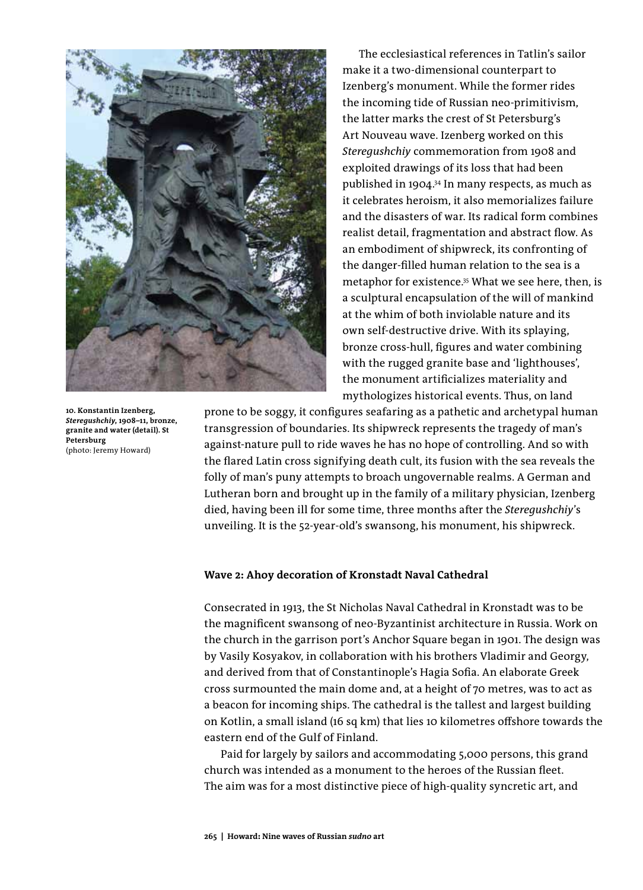

**10. Konstantin Izenberg,**  *Steregushchiy***, 1908–11, bronze, granite and water (detail). St Petersburg**  (photo: Jeremy Howard)

The ecclesiastical references in Tatlin's sailor make it a two-dimensional counterpart to Izenberg's monument. While the former rides the incoming tide of Russian neo-primitivism, the latter marks the crest of St Petersburg's Art Nouveau wave. Izenberg worked on this *Steregushchiy* commemoration from 1908 and exploited drawings of its loss that had been published in 1904.34 In many respects, as much as it celebrates heroism, it also memorializes failure and the disasters of war. Its radical form combines realist detail, fragmentation and abstract flow. As an embodiment of shipwreck, its confronting of the danger-filled human relation to the sea is a metaphor for existence.35 What we see here, then, is a sculptural encapsulation of the will of mankind at the whim of both inviolable nature and its own self-destructive drive. With its splaying, bronze cross-hull, figures and water combining with the rugged granite base and 'lighthouses', the monument artificializes materiality and mythologizes historical events. Thus, on land

prone to be soggy, it configures seafaring as a pathetic and archetypal human transgression of boundaries. Its shipwreck represents the tragedy of man's against-nature pull to ride waves he has no hope of controlling. And so with the flared Latin cross signifying death cult, its fusion with the sea reveals the folly of man's puny attempts to broach ungovernable realms. A German and Lutheran born and brought up in the family of a military physician, Izenberg died, having been ill for some time, three months after the *Steregushchiy*'s unveiling. It is the 52-year-old's swansong, his monument, his shipwreck.

### **Wave 2: Ahoy decoration of Kronstadt Naval Cathedral**

Consecrated in 1913, the St Nicholas Naval Cathedral in Kronstadt was to be the magnificent swansong of neo-Byzantinist architecture in Russia. Work on the church in the garrison port's Anchor Square began in 1901. The design was by Vasily Kosyakov, in collaboration with his brothers Vladimir and Georgy, and derived from that of Constantinople's Hagia Sofia. An elaborate Greek cross surmounted the main dome and, at a height of 70 metres, was to act as a beacon for incoming ships. The cathedral is the tallest and largest building on Kotlin, a small island (16 sq km) that lies 10 kilometres offshore towards the eastern end of the Gulf of Finland.

Paid for largely by sailors and accommodating 5,000 persons, this grand church was intended as a monument to the heroes of the Russian fleet. The aim was for a most distinctive piece of high-quality syncretic art, and

**265 | Howard: Nine waves of Russian** *sudno* **art**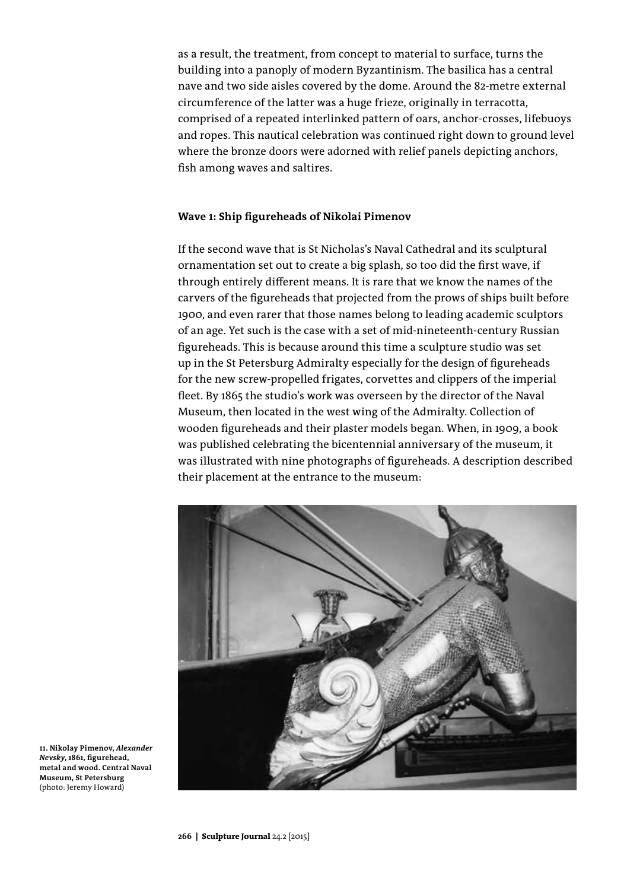as a result, the treatment, from concept to material to surface, turns the building into a panoply of modern Byzantinism. The basilica has a central nave and two side aisles covered by the dome. Around the 82-metre external circumference of the latter was a huge frieze, originally in terracotta, comprised of a repeated interlinked pattern of oars, anchor-crosses, lifebuoys and ropes. This nautical celebration was continued right down to ground level where the bronze doors were adorned with relief panels depicting anchors, fish among waves and saltires.

## **Wave 1: Ship figureheads of Nikolai Pimenov**

If the second wave that is St Nicholas's Naval Cathedral and its sculptural ornamentation set out to create a big splash, so too did the first wave, if through entirely different means. It is rare that we know the names of the carvers of the figureheads that projected from the prows of ships built before 1900, and even rarer that those names belong to leading academic sculptors of an age. Yet such is the case with a set of mid-nineteenth-century Russian figureheads. This is because around this time a sculpture studio was set up in the St Petersburg Admiralty especially for the design of figureheads for the new screw-propelled frigates, corvettes and clippers of the imperial fleet. By 1865 the studio's work was overseen by the director of the Naval Museum, then located in the west wing of the Admiralty. Collection of wooden figureheads and their plaster models began. When, in 1909, a book was published celebrating the bicentennial anniversary of the museum, it was illustrated with nine photographs of figureheads. A description described their placement at the entrance to the museum:



**11. Nikolay Pimenov,** *Alexander Nevsky***, 1861, figurehead, metal and wood. Central Naval Museum, St Petersburg** (photo: Jeremy Howard)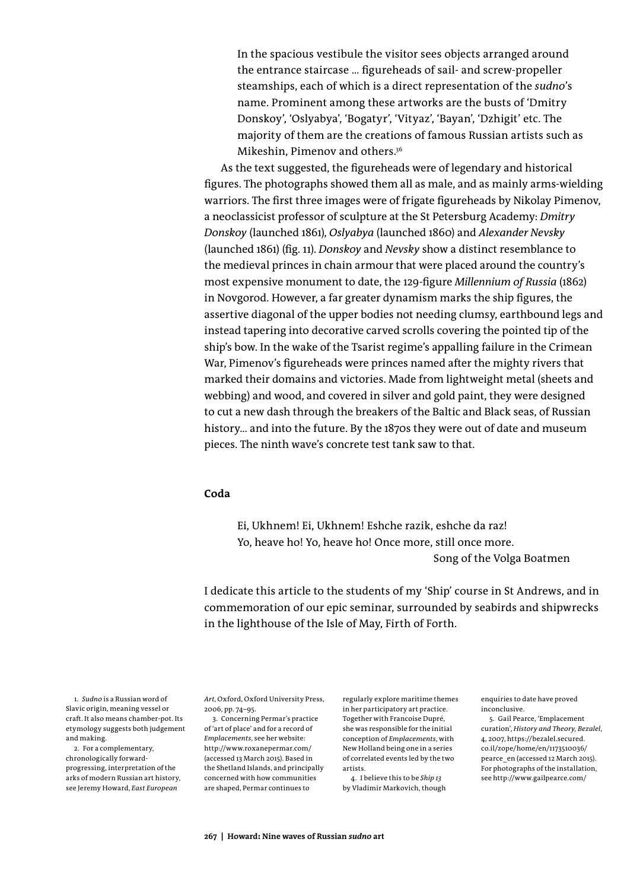In the spacious vestibule the visitor sees objects arranged around the entrance staircase … figureheads of sail- and screw-propeller steamships, each of which is a direct representation of the *sudno*'s name. Prominent among these artworks are the busts of 'Dmitry Donskoy', 'Oslyabya', 'Bogatyr', 'Vityaz', 'Bayan', 'Dzhigit' etc. The majority of them are the creations of famous Russian artists such as Mikeshin, Pimenov and others.36

As the text suggested, the figureheads were of legendary and historical figures. The photographs showed them all as male, and as mainly arms-wielding warriors. The first three images were of frigate figureheads by Nikolay Pimenov, a neoclassicist professor of sculpture at the St Petersburg Academy: *Dmitry Donskoy* (launched 1861), *Oslyabya* (launched 1860) and *Alexander Nevsky* (launched 1861) (fig. 11). *Donskoy* and *Nevsky* show a distinct resemblance to the medieval princes in chain armour that were placed around the country's most expensive monument to date, the 129-figure *Millennium of Russia* (1862) in Novgorod. However, a far greater dynamism marks the ship figures, the assertive diagonal of the upper bodies not needing clumsy, earthbound legs and instead tapering into decorative carved scrolls covering the pointed tip of the ship's bow. In the wake of the Tsarist regime's appalling failure in the Crimean War, Pimenov's figureheads were princes named after the mighty rivers that marked their domains and victories. Made from lightweight metal (sheets and webbing) and wood, and covered in silver and gold paint, they were designed to cut a new dash through the breakers of the Baltic and Black seas, of Russian history… and into the future. By the 1870s they were out of date and museum pieces. The ninth wave's concrete test tank saw to that.

# **Coda**

Ei, Ukhnem! Ei, Ukhnem! Eshche razik, eshche da raz! Yo, heave ho! Yo, heave ho! Once more, still once more. Song of the Volga Boatmen

I dedicate this article to the students of my 'Ship' course in St Andrews, and in commemoration of our epic seminar, surrounded by seabirds and shipwrecks in the lighthouse of the Isle of May, Firth of Forth.

1. *Sudno* is a Russian word of Slavic origin, meaning vessel or craft. It also means chamber-pot. Its etymology suggests both judgement and making.

2. For a complementary, chronologically forwardprogressing, interpretation of the arks of modern Russian art history, see Jeremy Howard, *East European* 

*Art*, Oxford, Oxford University Press, 2006, pp. 74–95.

3. Concerning Permar's practice of 'art of place' and for a record of *Emplacements*, see her website: http://www.roxanepermar.com/ (accessed 13 March 2015). Based in the Shetland Islands, and principally concerned with how communities are shaped, Permar continues to

regularly explore maritime themes in her participatory art practice. Together with Francoise Dupré, she was responsible for the initial conception of *Emplacements*, with New Holland being one in a series of correlated events led by the two artists.

4. I believe this to be *Ship 13* by Vladimir Markovich, though enquiries to date have proved inconclusive.

5. Gail Pearce, 'Emplacement curation', *History and Theory, Bezalel*, 4, 2007, https://bezalel.secured. co.il/zope/home/en/1173510036/ pearce\_en (accessed 12 March 2015). For photographs of the installation, see http://www.gailpearce.com/